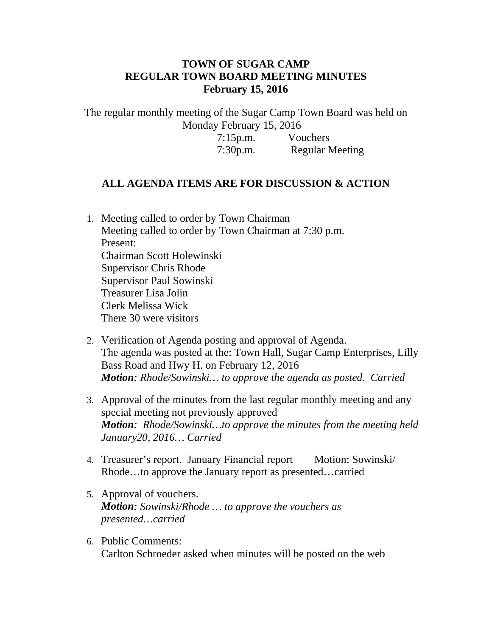## **TOWN OF SUGAR CAMP REGULAR TOWN BOARD MEETING MINUTES February 15, 2016**

The regular monthly meeting of the Sugar Camp Town Board was held on Monday February 15, 2016

7:15p.m. Vouchers 7:30p.m. Regular Meeting

## **ALL AGENDA ITEMS ARE FOR DISCUSSION & ACTION**

- 1. Meeting called to order by Town Chairman Meeting called to order by Town Chairman at 7:30 p.m. Present: Chairman Scott Holewinski Supervisor Chris Rhode Supervisor Paul Sowinski Treasurer Lisa Jolin Clerk Melissa Wick There 30 were visitors
- 2. Verification of Agenda posting and approval of Agenda. The agenda was posted at the: Town Hall, Sugar Camp Enterprises, Lilly Bass Road and Hwy H. on February 12, 2016 *Motion: Rhode/Sowinski… to approve the agenda as posted. Carried*
- 3. Approval of the minutes from the last regular monthly meeting and any special meeting not previously approved *Motion: Rhode/Sowinski…to approve the minutes from the meeting held January20, 2016… Carried*
- 4. Treasurer's report. January Financial report Motion: Sowinski/ Rhode…to approve the January report as presented…carried
- 5. Approval of vouchers. *Motion: Sowinski/Rhode … to approve the vouchers as presented…carried*
- 6. Public Comments: Carlton Schroeder asked when minutes will be posted on the web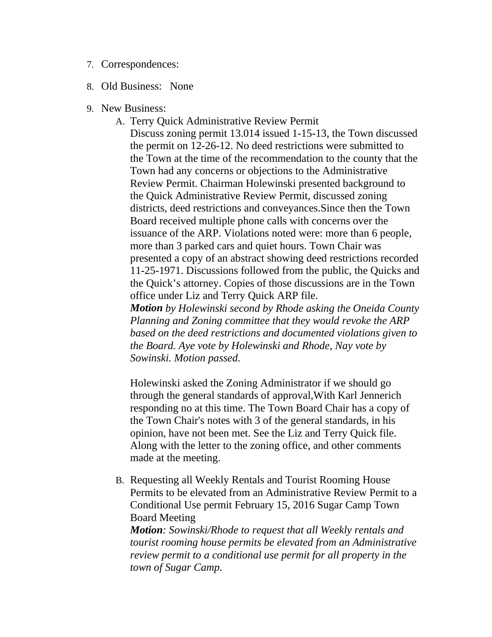- 7. Correspondences:
- 8. Old Business: None
- 9. New Business:
	- A. Terry Quick Administrative Review Permit

Discuss zoning permit 13.014 issued 1-15-13, the Town discussed the permit on 12-26-12. No deed restrictions were submitted to the Town at the time of the recommendation to the county that the Town had any concerns or objections to the Administrative Review Permit. Chairman Holewinski presented background to the Quick Administrative Review Permit, discussed zoning districts, deed restrictions and conveyances.Since then the Town Board received multiple phone calls with concerns over the issuance of the ARP. Violations noted were: more than 6 people, more than 3 parked cars and quiet hours. Town Chair was presented a copy of an abstract showing deed restrictions recorded 11-25-1971. Discussions followed from the public, the Quicks and the Quick's attorney. Copies of those discussions are in the Town office under Liz and Terry Quick ARP file.

*Motion by Holewinski second by Rhode asking the Oneida County Planning and Zoning committee that they would revoke the ARP based on the deed restrictions and documented violations given to the Board. Aye vote by Holewinski and Rhode, Nay vote by Sowinski. Motion passed.*

Holewinski asked the Zoning Administrator if we should go through the general standards of approval,With Karl Jennerich responding no at this time. The Town Board Chair has a copy of the Town Chair's notes with 3 of the general standards, in his opinion, have not been met. See the Liz and Terry Quick file. Along with the letter to the zoning office, and other comments made at the meeting.

B. Requesting all Weekly Rentals and Tourist Rooming House Permits to be elevated from an Administrative Review Permit to a Conditional Use permit February 15, 2016 Sugar Camp Town Board Meeting

*Motion: Sowinski/Rhode to request that all Weekly rentals and tourist rooming house permits be elevated from an Administrative review permit to a conditional use permit for all property in the town of Sugar Camp.*